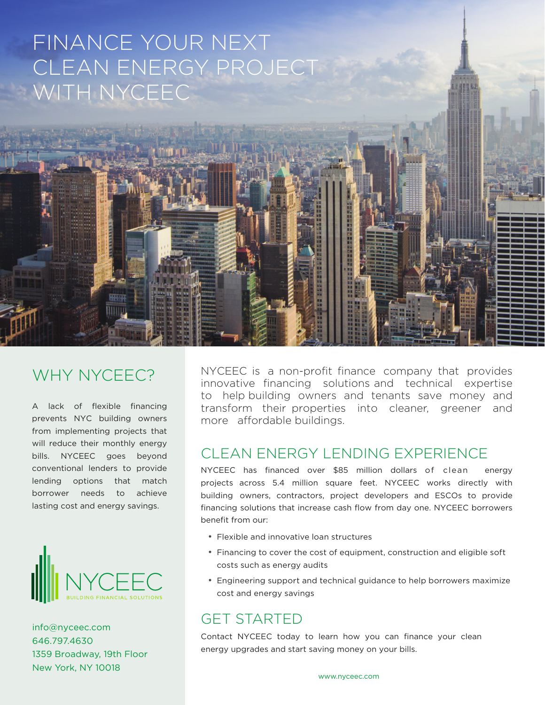# FINANCE YOUR NEXT CLEAN ENERGY PROJECT WITH NYCEEC

### WHY NYCEEC?

研研 HIHIU

A lack of flexible financing prevents NYC building owners from implementing projects that will reduce their monthly energy bills. NYCEEC goes beyond conventional lenders to provide lending options that match borrower needs to achieve lasting cost and energy savings.



info@nyceec.com 646.797.4630 1359 Broadway, 19th Floor New York, NY 10018

NYCEEC is a non-profit finance company that provides innovative financing solutions and technical expertise to help building owners and tenants save money and transform their properties into cleaner, greener and more affordable buildings.

#### CLEAN ENERGY LENDING EXPERIENCE

NYCEEC has financed over \$85 million dollars of clean energy projects across 5.4 million square feet. NYCEEC works directly with building owners, contractors, project developers and ESCOs to provide financing solutions that increase cash flow from day one. NYCEEC borrowers benefit from our:

- \* Flexible and innovative loan structures
- \* Financing to cover the cost of equipment, construction and eligible soft costs such as energy audits
- \* Engineering support and technical guidance to help borrowers maximize cost and energy savings

#### GET STARTED

Contact NYCEEC today to learn how you can finance your clean energy upgrades and start saving money on your bills.